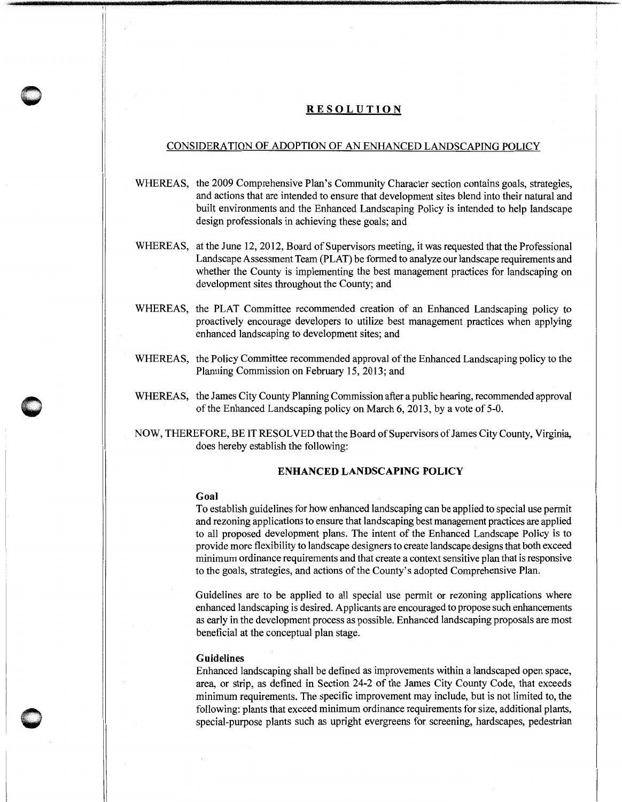# **RESOLUTION**

# CONSIDERATION OF ADOPTION OF AN ENHANCED LANDSCAPING POLICY

- WHEREAS, the 2009 Comprehensive Plan's Community Character section contains goals, strategies, and actions that are intended to ensure that development sites blend into their natural and built environments and the Enhanced Landscaping Policy is intended to help landscape design professionals in achieving these goals; and
- WHEREAS, at the June 12, 2012, Board of Supervisors meeting, it was requested that the Professional Landscape Assessment Team (PLAT) be formed to analyze our landscape requirements and whether the County is implementing the best management practices for landscaping on development sites throughout the County; and
- WHEREAS, the PLAT Committee recommended creation of an Enhanced Landscaping policy to proactively encourage developers to utilize best management practices when applying enhanced landscaping to development sites; and
- WHEREAS, the Policy Committee recommended approval of the Enhanced Landscaping policy to the Planning Commission on February 15, 2013; and
- WHEREAS, the James City County Planning Commission after a public hearing, recommended approval of the Enhanced Landscaping policy on March 6, 2013, by a vote of 5-0.
- NOW, THEREFORE, BE IT RESOLVED that the Board of Supervisors of James City County, Virginia, does hereby establish the following:

### **ENHANCED LANDSCAPING POLICY**

#### **Goal**

!I

 $\bigcirc$ 

To establish guidelines for how enhanced landscaping can be applied to special use permit and rezoning applications to ensure that landscaping best management practices are applied to all proposed development plans. The intent of the Enhanced Landscape Policy is to provide more flexibility to landscape designers to create landscape designs that both exceed minimum ordinance requirements and that create a context sensitive plan that is responsive to the goals, strategies, and actions of the County's adopted Comprehensive Plan.

Guidelines are to be applied to all special use permit or rezoning applications where enhanced landscaping is desired. Applicants are encouraged to propose such enhancements as early in the development process as possible. Enhanced landscaping proposals are most beneficial at the conceptual plan stage.

### **Guidelines**

Enhanced landscaping shall be defined as improvements within a landscaped open space, area, or strip, as defined in Section 24-2 of the James City County Code, that exceeds minimum requirements. The specific improvement may include, but is not limited to, the following: plants that exceed minimum ordinance requirements for size, additional plants, special-purpose plants such as upright evergreens for screening, hardscapes, pedestrian